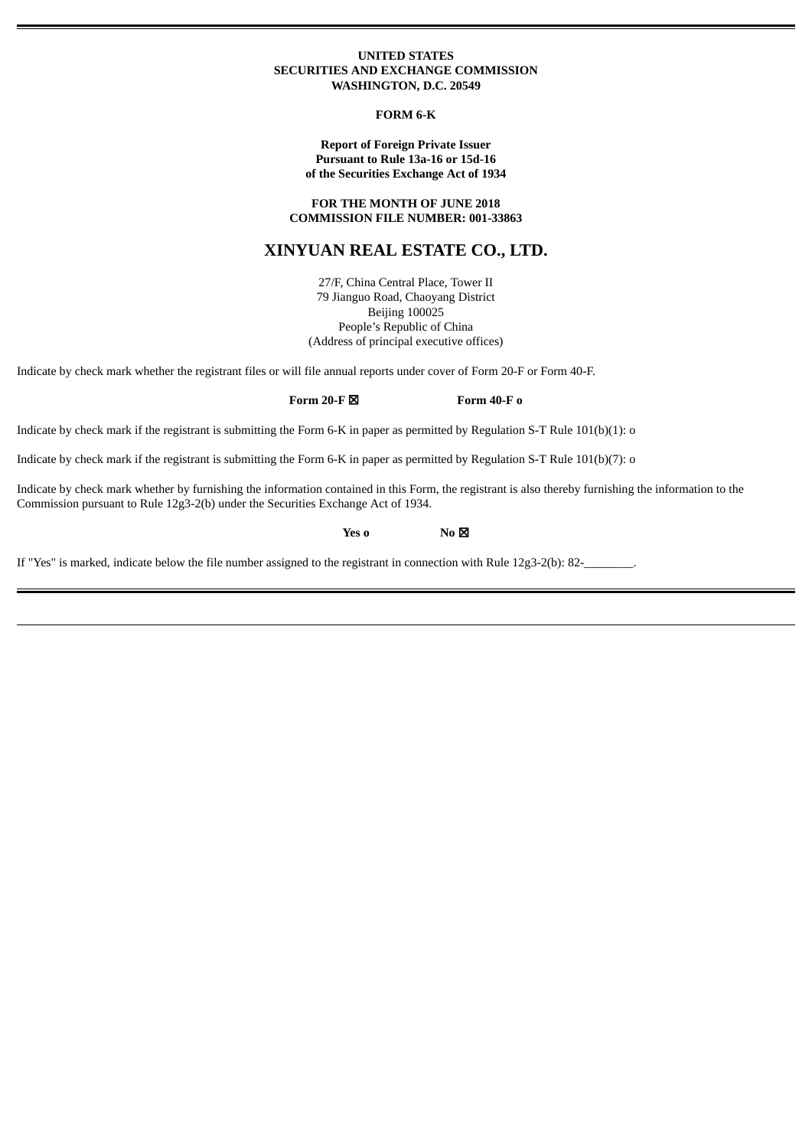### **UNITED STATES SECURITIES AND EXCHANGE COMMISSION WASHINGTON, D.C. 20549**

### **FORM 6-K**

### **Report of Foreign Private Issuer Pursuant to Rule 13a-16 or 15d-16 of the Securities Exchange Act of 1934**

**FOR THE MONTH OF JUNE 2018 COMMISSION FILE NUMBER: 001-33863**

# **XINYUAN REAL ESTATE CO., LTD.**

27/F, China Central Place, Tower II 79 Jianguo Road, Chaoyang District Beijing 100025 People's Republic of China (Address of principal executive offices)

Indicate by check mark whether the registrant files or will file annual reports under cover of Form 20-F or Form 40-F.

**Form 20-F** ☒ **Form 40-F o**

Indicate by check mark if the registrant is submitting the Form 6-K in paper as permitted by Regulation S-T Rule 101(b)(1): o

Indicate by check mark if the registrant is submitting the Form 6-K in paper as permitted by Regulation S-T Rule 101(b)(7): o

Indicate by check mark whether by furnishing the information contained in this Form, the registrant is also thereby furnishing the information to the Commission pursuant to Rule 12g3-2(b) under the Securities Exchange Act of 1934.

**Yes o No** ☒

If "Yes" is marked, indicate below the file number assigned to the registrant in connection with Rule 12g3-2(b): 82-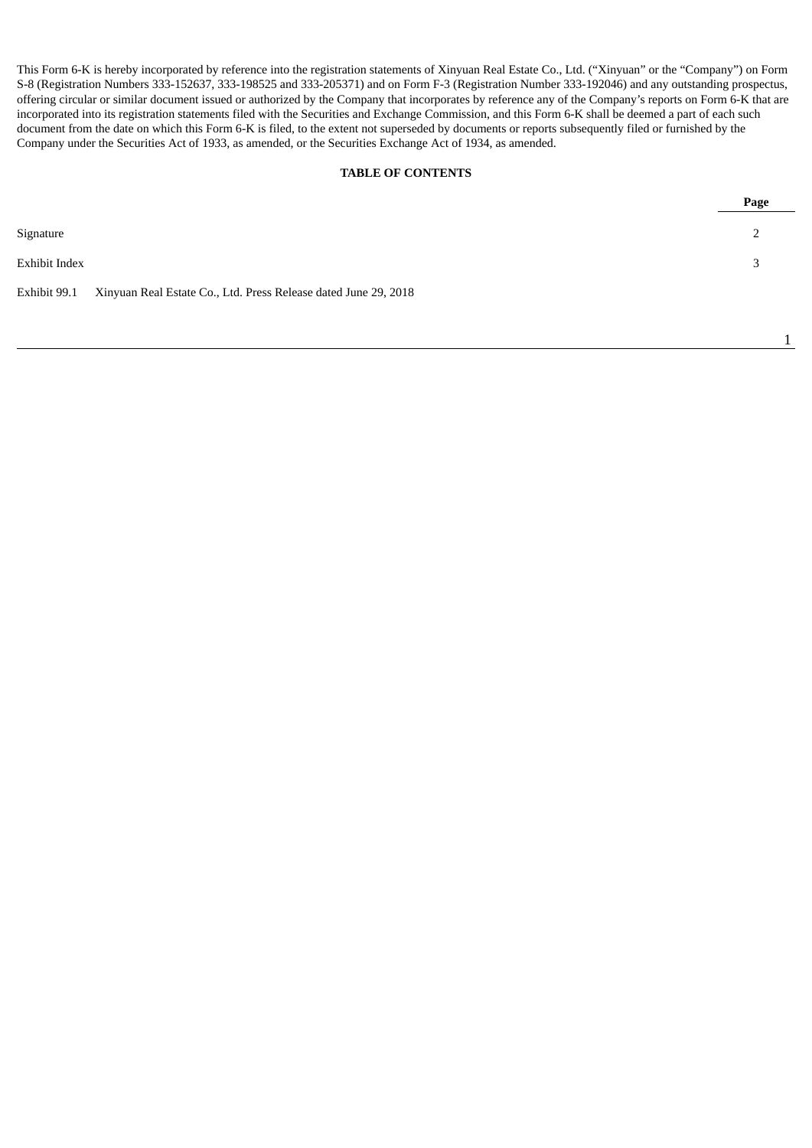This Form 6-K is hereby incorporated by reference into the registration statements of Xinyuan Real Estate Co., Ltd. ("Xinyuan" or the "Company") on Form S-8 (Registration Numbers 333-152637, 333-198525 and 333-205371) and on Form F-3 (Registration Number 333-192046) and any outstanding prospectus, offering circular or similar document issued or authorized by the Company that incorporates by reference any of the Company's reports on Form 6-K that are incorporated into its registration statements filed with the Securities and Exchange Commission, and this Form 6-K shall be deemed a part of each such document from the date on which this Form 6-K is filed, to the extent not superseded by documents or reports subsequently filed or furnished by the Company under the Securities Act of 1933, as amended, or the Securities Exchange Act of 1934, as amended.

# **TABLE OF CONTENTS**

|                                                                                 | Page |
|---------------------------------------------------------------------------------|------|
| Signature                                                                       |      |
| Exhibit Index                                                                   | 3    |
| Xinyuan Real Estate Co., Ltd. Press Release dated June 29, 2018<br>Exhibit 99.1 |      |

1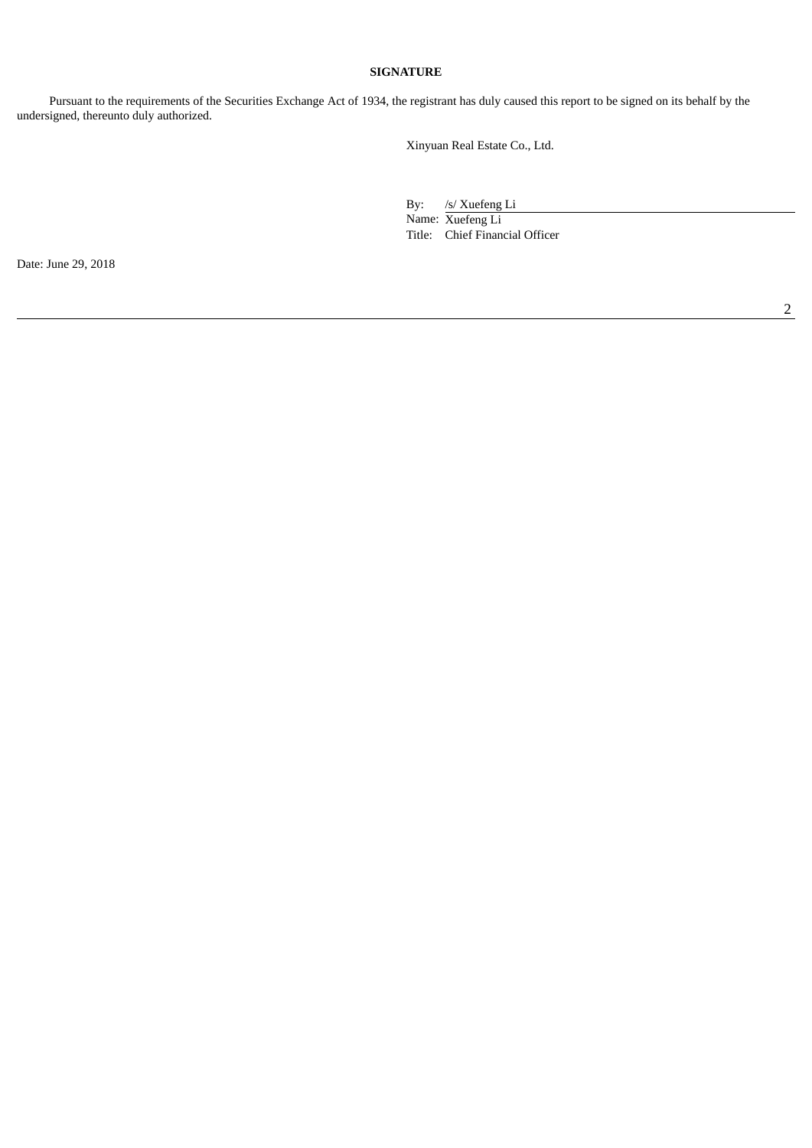# **SIGNATURE**

Pursuant to the requirements of the Securities Exchange Act of 1934, the registrant has duly caused this report to be signed on its behalf by the undersigned, thereunto duly authorized.

Xinyuan Real Estate Co., Ltd.

By: /s/ Xuefeng Li Name: Xuefeng Li Title: Chief Financial Officer

Date: June 29, 2018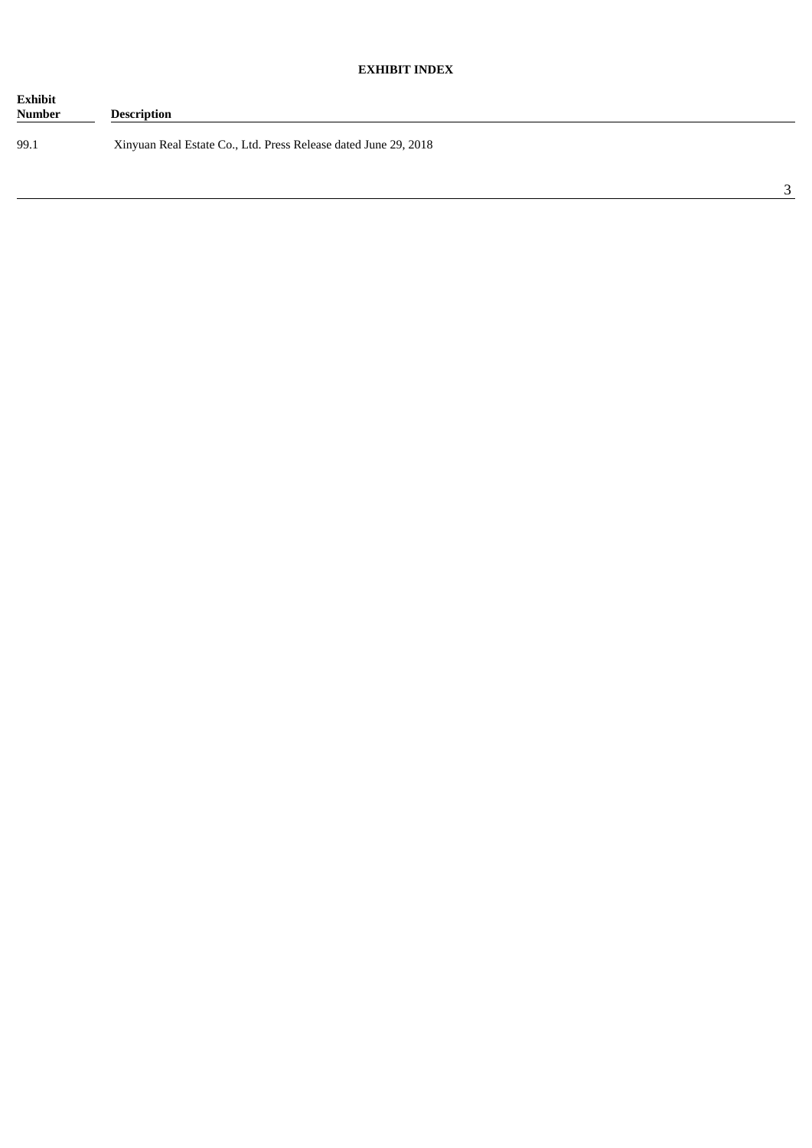| <b>Exhibit</b><br>Number | <b>Description</b>                                              |
|--------------------------|-----------------------------------------------------------------|
| 99.1                     | Xinyuan Real Estate Co., Ltd. Press Release dated June 29, 2018 |

3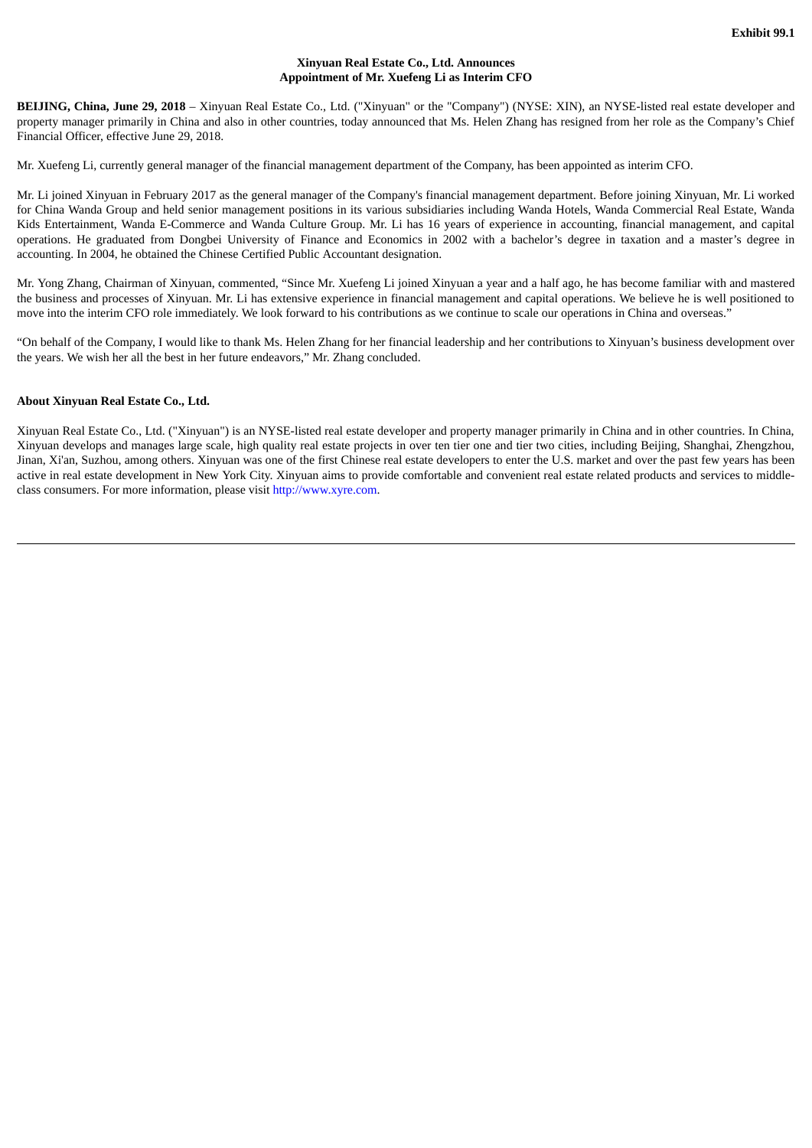### **Xinyuan Real Estate Co., Ltd. Announces Appointment of Mr. Xuefeng Li as Interim CFO**

**BEIJING, China, June 29, 2018** – Xinyuan Real Estate Co., Ltd. ("Xinyuan" or the "Company") (NYSE: XIN), an NYSE-listed real estate developer and property manager primarily in China and also in other countries, today announced that Ms. Helen Zhang has resigned from her role as the Company's Chief Financial Officer, effective June 29, 2018.

Mr. Xuefeng Li, currently general manager of the financial management department of the Company, has been appointed as interim CFO.

Mr. Li joined Xinyuan in February 2017 as the general manager of the Company's financial management department. Before joining Xinyuan, Mr. Li worked for China Wanda Group and held senior management positions in its various subsidiaries including Wanda Hotels, Wanda Commercial Real Estate, Wanda Kids Entertainment, Wanda E-Commerce and Wanda Culture Group. Mr. Li has 16 years of experience in accounting, financial management, and capital operations. He graduated from Dongbei University of Finance and Economics in 2002 with a bachelor's degree in taxation and a master's degree in accounting. In 2004, he obtained the Chinese Certified Public Accountant designation.

Mr. Yong Zhang, Chairman of Xinyuan, commented, "Since Mr. Xuefeng Li joined Xinyuan a year and a half ago, he has become familiar with and mastered the business and processes of Xinyuan. Mr. Li has extensive experience in financial management and capital operations. We believe he is well positioned to move into the interim CFO role immediately. We look forward to his contributions as we continue to scale our operations in China and overseas."

"On behalf of the Company, I would like to thank Ms. Helen Zhang for her financial leadership and her contributions to Xinyuan's business development over the years. We wish her all the best in her future endeavors," Mr. Zhang concluded.

## **About Xinyuan Real Estate Co., Ltd.**

Xinyuan Real Estate Co., Ltd. ("Xinyuan") is an NYSE-listed real estate developer and property manager primarily in China and in other countries. In China, Xinyuan develops and manages large scale, high quality real estate projects in over ten tier one and tier two cities, including Beijing, Shanghai, Zhengzhou, Jinan, Xi'an, Suzhou, among others. Xinyuan was one of the first Chinese real estate developers to enter the U.S. market and over the past few years has been active in real estate development in New York City. Xinyuan aims to provide comfortable and convenient real estate related products and services to middleclass consumers. For more information, please visit http://www.xyre.com.